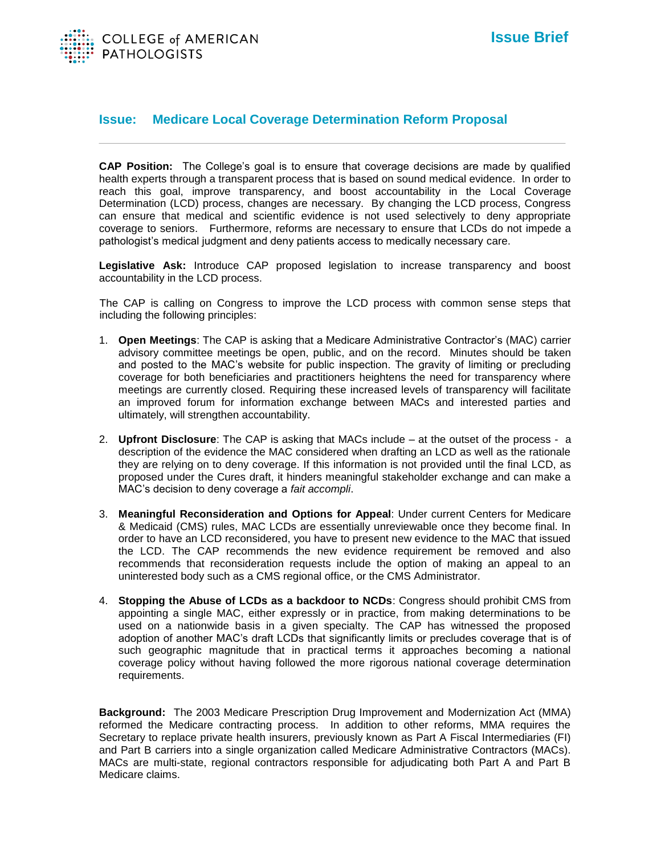

## **Issue: Medicare Local Coverage Determination Reform Proposal**

**CAP Position:** The College's goal is to ensure that coverage decisions are made by qualified health experts through a transparent process that is based on sound medical evidence. In order to reach this goal, improve transparency, and boost accountability in the Local Coverage Determination (LCD) process, changes are necessary. By changing the LCD process, Congress can ensure that medical and scientific evidence is not used selectively to deny appropriate coverage to seniors. Furthermore, reforms are necessary to ensure that LCDs do not impede a pathologist's medical judgment and deny patients access to medically necessary care.

**Legislative Ask:** Introduce CAP proposed legislation to increase transparency and boost accountability in the LCD process.

The CAP is calling on Congress to improve the LCD process with common sense steps that including the following principles:

- 1. **Open Meetings**: The CAP is asking that a Medicare Administrative Contractor's (MAC) carrier advisory committee meetings be open, public, and on the record. Minutes should be taken and posted to the MAC's website for public inspection. The gravity of limiting or precluding coverage for both beneficiaries and practitioners heightens the need for transparency where meetings are currently closed. Requiring these increased levels of transparency will facilitate an improved forum for information exchange between MACs and interested parties and ultimately, will strengthen accountability.
- 2. **Upfront Disclosure**: The CAP is asking that MACs include at the outset of the process a description of the evidence the MAC considered when drafting an LCD as well as the rationale they are relying on to deny coverage. If this information is not provided until the final LCD, as proposed under the Cures draft, it hinders meaningful stakeholder exchange and can make a MAC's decision to deny coverage a *fait accompli*.
- 3. **Meaningful Reconsideration and Options for Appeal**: Under current Centers for Medicare & Medicaid (CMS) rules, MAC LCDs are essentially unreviewable once they become final. In order to have an LCD reconsidered, you have to present new evidence to the MAC that issued the LCD. The CAP recommends the new evidence requirement be removed and also recommends that reconsideration requests include the option of making an appeal to an uninterested body such as a CMS regional office, or the CMS Administrator.
- 4. **Stopping the Abuse of LCDs as a backdoor to NCDs**: Congress should prohibit CMS from appointing a single MAC, either expressly or in practice, from making determinations to be used on a nationwide basis in a given specialty. The CAP has witnessed the proposed adoption of another MAC's draft LCDs that significantly limits or precludes coverage that is of such geographic magnitude that in practical terms it approaches becoming a national coverage policy without having followed the more rigorous national coverage determination requirements.

**Background:** The 2003 Medicare Prescription Drug Improvement and Modernization Act (MMA) reformed the Medicare contracting process. In addition to other reforms, MMA requires the Secretary to replace private health insurers, previously known as Part A Fiscal Intermediaries (FI) and Part B carriers into a single organization called Medicare Administrative Contractors (MACs). MACs are multi-state, regional contractors responsible for adjudicating both Part A and Part B Medicare claims.